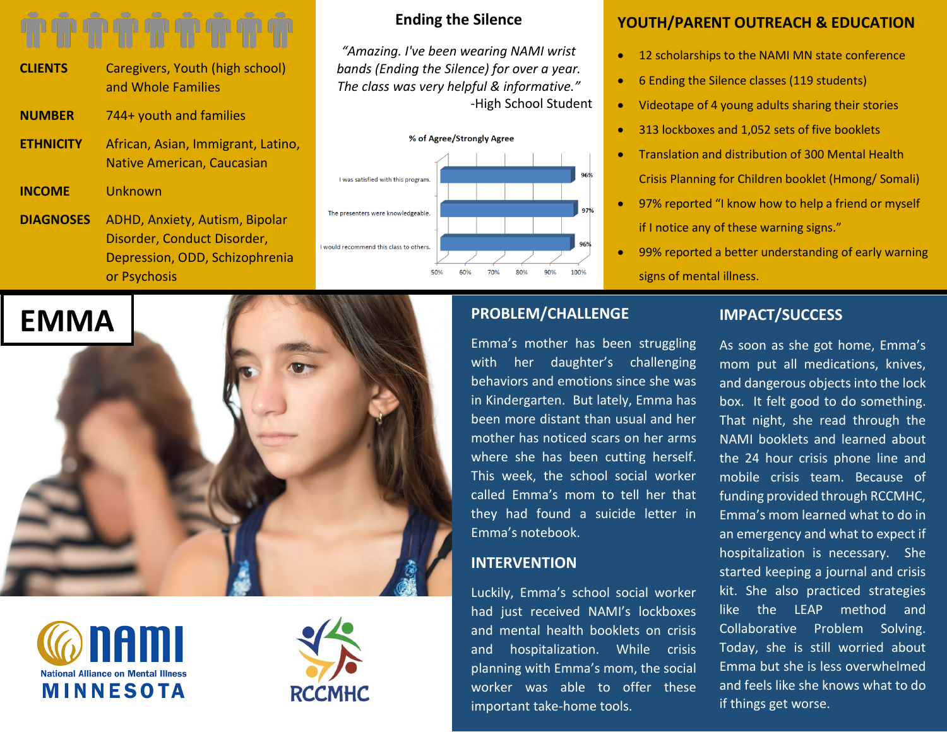- **CLIENTS** Caregivers, Youth (high school) and Whole Families
- **NUMBER** 744+ youth and families
- **ETHNICITY** African, Asian, Immigrant, Latino, Native American, Caucasian
- **INCOME** Unknown
- **DIAGNOSES** ADHD, Anxiety, Autism, Bipolar Disorder, Conduct Disorder, Depression, ODD, Schizophrenia or Psychosis

# **Ending the Silence**

*"Amazing. I've been wearing NAMI wrist bands (Ending the Silence) for over a year. The class was very helpful & informative."* -High School Student



# **YOUTH/PARENT OUTREACH & EDUCATION**

- 12 scholarships to the NAMI MN state conference
- 6 Ending the Silence classes (119 students)
- Videotape of 4 young adults sharing their stories
- 313 lockboxes and 1,052 sets of five booklets
- Translation and distribution of 300 Mental Health Crisis Planning for Children booklet (Hmong/ Somali)
- 97% reported "I know how to help a friend or myself if I notice any of these warning signs."
- 99% reported a better understanding of early warning signs of mental illness.

# **EMMA**





# **PROBLEM/CHALLENGE**

Emma's mother has been struggling with her daughter's challenging behaviors and emotions since she was in Kindergarten. But lately, Emma has been more distant than usual and her mother has noticed scars on her arms where she has been cutting herself. This week, the school social worker called Emma's mom to tell her that they had found a suicide letter in Emma's notebook.

# **INTERVENTION**

Luckily, Emma's school social worker had just received NAMI's lockboxes and mental health booklets on crisis and hospitalization. While crisis planning with Emma's mom, the social worker was able to offer these important take-home tools.

# **IMPACT/SUCCESS**

As soon as she got home, Emma's mom put all medications, knives, and dangerous objects into the lock box. It felt good to do something. That night, she read through the NAMI booklets and learned about the 24 hour crisis phone line and mobile crisis team. Because of funding provided through RCCMHC, Emma's mom learned what to do in an emergency and what to expect if hospitalization is necessary. She started keeping a journal and crisis kit. She also practiced strategies like the LEAP method and Collaborative Problem Solving. Today, she is still worried about Emma but she is less overwhelmed and feels like she knows what to do if things get worse.